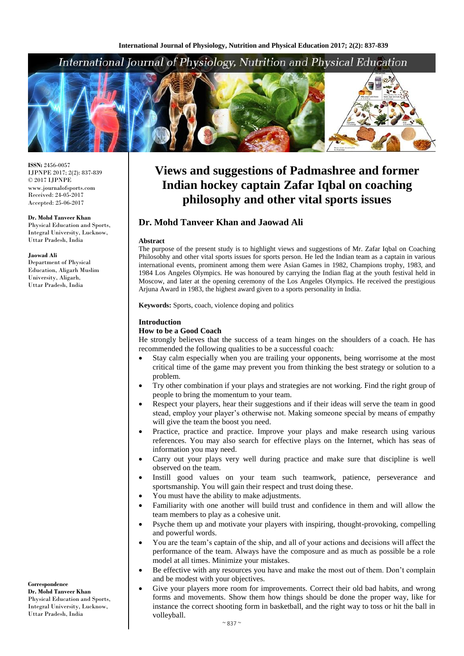# International Journal of Physiology, Nutrition and Physical Education



**ISSN:** 2456-0057 IJPNPE 2017; 2(2): 837-839  $\odot$  2017 IJPNPE www.journalofsports.com Received: 24-05-2017 Accepted: 25-06-2017

**Dr. Mohd Tanveer Khan** Physical Education and Sports, Integral University, Lucknow,

Uttar Pradesh, India

**Jaowad Ali**

Department of Physical Education, Aligarh Muslim University, Aligarh, Uttar Pradesh, India

# **Views and suggestions of Padmashree and former Indian hockey captain Zafar Iqbal on coaching philosophy and other vital sports issues**

# **Dr. Mohd Tanveer Khan and Jaowad Ali**

#### **Abstract**

The purpose of the present study is to highlight views and suggestions of Mr. Zafar Iqbal on Coaching Philosobhy and other vital sports issues for sports person. He led the Indian team as a captain in various international events, prominent among them were Asian Games in 1982, Champions trophy, 1983, and 1984 Los Angeles Olympics. He was honoured by carrying the Indian flag at the youth festival held in Moscow, and later at the opening ceremony of the Los Angeles Olympics. He received the prestigious Arjuna Award in 1983, the highest award given to a sports personality in India.

**Keywords:** Sports, coach, violence doping and politics

#### **Introduction**

#### **How to be a Good Coach**

He strongly believes that the success of a team hinges on the shoulders of a coach. He has recommended the following qualities to be a successful coach:

- Stay calm especially when you are trailing your opponents, being worrisome at the most critical time of the game may prevent you from thinking the best strategy or solution to a problem.
- Try other combination if your plays and strategies are not working. Find the right group of people to bring the momentum to your team.
- Respect your players, hear their suggestions and if their ideas will serve the team in good stead, employ your player's otherwise not. Making someone special by means of empathy will give the team the boost you need.
- Practice, practice and practice. Improve your plays and make research using various references. You may also search for effective plays on the Internet, which has seas of information you may need.
- Carry out your plays very well during practice and make sure that discipline is well observed on the team.
- Instill good values on your team such teamwork, patience, perseverance and sportsmanship. You will gain their respect and trust doing these.
- You must have the ability to make adjustments.
- Familiarity with one another will build trust and confidence in them and will allow the team members to play as a cohesive unit.
- Psyche them up and motivate your players with inspiring, thought-provoking, compelling and powerful words.
- You are the team's captain of the ship, and all of your actions and decisions will affect the performance of the team. Always have the composure and as much as possible be a role model at all times. Minimize your mistakes.
- Be effective with any resources you have and make the most out of them. Don't complain and be modest with your objectives.
- Give your players more room for improvements. Correct their old bad habits, and wrong forms and movements. Show them how things should be done the proper way, like for instance the correct shooting form in basketball, and the right way to toss or hit the ball in volleyball.

**Correspondence Dr. Mohd Tanveer Khan** Physical Education and Sports, Integral University, Lucknow, Uttar Pradesh, India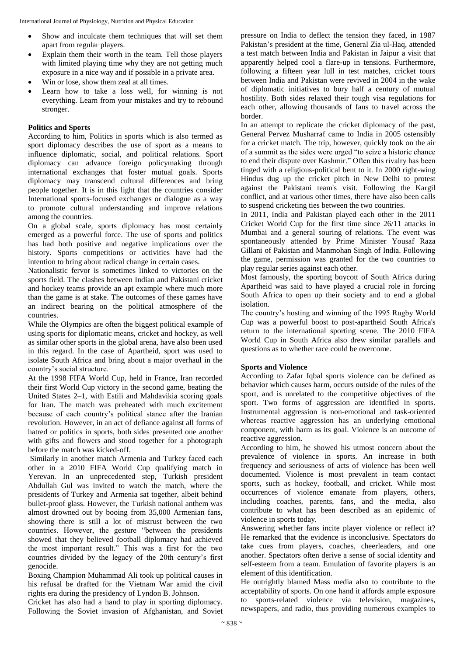- Show and inculcate them techniques that will set them apart from regular players.
- Explain them their worth in the team. Tell those players with limited playing time why they are not getting much exposure in a nice way and if possible in a private area.
- Win or lose, show them zeal at all times.
- Learn how to take a loss well, for winning is not everything. Learn from your mistakes and try to rebound stronger.

# **Politics and Sports**

According to him, Politics in sports which is also termed as sport diplomacy describes the use of sport as a means to influence diplomatic, social, and political relations. Sport diplomacy can advance foreign policymaking through international exchanges that foster mutual goals. Sports diplomacy may transcend cultural differences and bring people together. It is in this light that the countries consider International sports-focused exchanges or dialogue as a way to promote cultural understanding and improve relations among the countries.

On a global scale, sports diplomacy has most certainly emerged as a powerful force. The use of sports and politics has had both positive and negative implications over the history. Sports competitions or activities have had the intention to bring about radical change in certain cases.

Nationalistic fervor is sometimes linked to victories on the sports field. The clashes between Indian and Pakistani cricket and hockey teams provide an apt example where much more than the game is at stake. The outcomes of these games have an indirect bearing on the political atmosphere of the countries.

While the Olympics are often the biggest political example of using sports for diplomatic means, cricket and hockey, as well as similar other sports in the global arena, have also been used in this regard. In the case of Apartheid, sport was used to isolate South Africa and bring about a major overhaul in the country's social structure.

At the 1998 FIFA World Cup, held in France, Iran recorded their first World Cup victory in the second game, beating the United States 2–1, with Estili and Mahdavikia scoring goals for Iran. The match was preheated with much excitement because of each country's political stance after the Iranian revolution. However, in an act of defiance against all forms of hatred or politics in sports, both sides presented one another with gifts and flowers and stood together for a photograph before the match was kicked-off.

Similarly in another match Armenia and Turkey faced each other in a 2010 FIFA World Cup qualifying match in Yerevan. In an unprecedented step, Turkish president Abdullah Gul was invited to watch the match, where the presidents of Turkey and Armenia sat together, albeit behind bullet-proof glass. However, the Turkish national anthem was almost drowned out by booing from 35,000 Armenian fans, showing there is still a lot of mistrust between the two countries. However, the gesture "between the presidents showed that they believed football diplomacy had achieved the most important result." This was a first for the two countries divided by the legacy of the 20th century's first genocide.

Boxing Champion Muhammad Ali took up political causes in his refusal be drafted for the Vietnam War amid the civil rights era during the presidency of Lyndon B. Johnson.

Cricket has also had a hand to play in sporting diplomacy. Following the Soviet invasion of Afghanistan, and Soviet pressure on India to deflect the tension they faced, in 1987 Pakistan's president at the time, General Zia ul-Haq, attended a test match between India and Pakistan in Jaipur a visit that apparently helped cool a flare-up in tensions. Furthermore, following a fifteen year lull in test matches, cricket tours between India and Pakistan were revived in 2004 in the wake of diplomatic initiatives to bury half a century of mutual hostility. Both sides relaxed their tough visa regulations for each other, allowing thousands of fans to travel across the border.

In an attempt to replicate the cricket diplomacy of the past, General Pervez Musharraf came to India in 2005 ostensibly for a cricket match. The trip, however, quickly took on the air of a summit as the sides were urged "to seize a historic chance to end their dispute over Kashmir." Often this rivalry has been tinged with a religious-political bent to it. In 2000 right-wing Hindus dug up the cricket pitch in New Delhi to protest against the Pakistani team's visit. Following the Kargil conflict, and at various other times, there have also been calls to suspend cricketing ties between the two countries.

In 2011, India and Pakistan played each other in the 2011 Cricket World Cup for the first time since 26/11 attacks in Mumbai and a general souring of relations. The event was spontaneously attended by Prime Minister Yousaf Raza Gillani of Pakistan and Manmohan Singh of India. Following the game, permission was granted for the two countries to play regular series against each other.

Most famously, the sporting boycott of South Africa during Apartheid was said to have played a crucial role in forcing South Africa to open up their society and to end a global isolation.

The country's hosting and winning of the 1995 Rugby World Cup was a powerful boost to post-apartheid South Africa's return to the international sporting scene. The 2010 FIFA World Cup in South Africa also drew similar parallels and questions as to whether race could be overcome.

# **Sports and Violence**

According to Zafar Iqbal sports violence can be defined as behavior which causes harm, occurs outside of the rules of the sport, and is unrelated to the competitive objectives of the sport. Two forms of aggression are identified in sports. Instrumental aggression is non-emotional and task-oriented whereas reactive aggression has an underlying emotional component, with harm as its goal. Violence is an outcome of reactive aggression.

According to him, he showed his utmost concern about the prevalence of violence in sports. An increase in both frequency and seriousness of acts of violence has been well documented. Violence is most prevalent in team contact sports, such as hockey, football, and cricket. While most occurrences of violence emanate from players, others, including coaches, parents, fans, and the media, also contribute to what has been described as an epidemic of violence in sports today.

Answering whether fans incite player violence or reflect it? He remarked that the evidence is inconclusive. Spectators do take cues from players, coaches, cheerleaders, and one another. Spectators often derive a sense of social identity and self-esteem from a team. Emulation of favorite players is an element of this identification.

He outrightly blamed Mass media also to contribute to the acceptability of sports. On one hand it affords ample exposure to sports-related violence via television, magazines, newspapers, and radio, thus providing numerous examples to